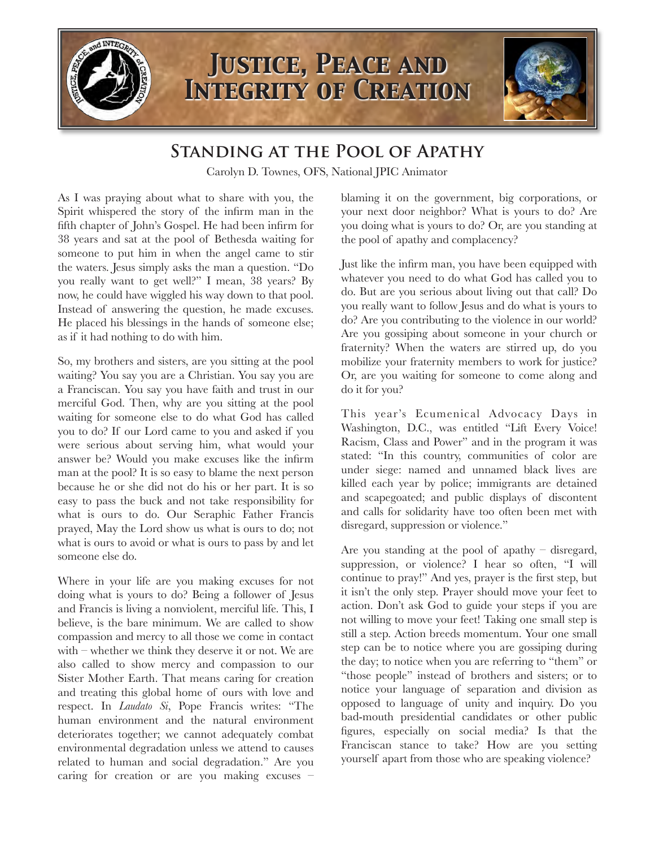

## **Standing at the Pool of Apathy**

Carolyn D. Townes, OFS, National JPIC Animator

As I was praying about what to share with you, the Spirit whispered the story of the infirm man in the fifth chapter of John's Gospel. He had been infirm for 38 years and sat at the pool of Bethesda waiting for someone to put him in when the angel came to stir the waters. Jesus simply asks the man a question. "Do you really want to get well?" I mean, 38 years? By now, he could have wiggled his way down to that pool. Instead of answering the question, he made excuses. He placed his blessings in the hands of someone else; as if it had nothing to do with him.

So, my brothers and sisters, are you sitting at the pool waiting? You say you are a Christian. You say you are a Franciscan. You say you have faith and trust in our merciful God. Then, why are you sitting at the pool waiting for someone else to do what God has called you to do? If our Lord came to you and asked if you were serious about serving him, what would your answer be? Would you make excuses like the infirm man at the pool? It is so easy to blame the next person because he or she did not do his or her part. It is so easy to pass the buck and not take responsibility for what is ours to do. Our Seraphic Father Francis prayed, May the Lord show us what is ours to do; not what is ours to avoid or what is ours to pass by and let someone else do.

Where in your life are you making excuses for not doing what is yours to do? Being a follower of Jesus and Francis is living a nonviolent, merciful life. This, I believe, is the bare minimum. We are called to show compassion and mercy to all those we come in contact with – whether we think they deserve it or not. We are also called to show mercy and compassion to our Sister Mother Earth. That means caring for creation and treating this global home of ours with love and respect. In *Laudato Si*, Pope Francis writes: "The human environment and the natural environment deteriorates together; we cannot adequately combat environmental degradation unless we attend to causes related to human and social degradation." Are you caring for creation or are you making excuses – blaming it on the government, big corporations, or your next door neighbor? What is yours to do? Are you doing what is yours to do? Or, are you standing at the pool of apathy and complacency?

Just like the infirm man, you have been equipped with whatever you need to do what God has called you to do. But are you serious about living out that call? Do you really want to follow Jesus and do what is yours to do? Are you contributing to the violence in our world? Are you gossiping about someone in your church or fraternity? When the waters are stirred up, do you mobilize your fraternity members to work for justice? Or, are you waiting for someone to come along and do it for you?

This year's Ecumenical Advocacy Days in Washington, D.C., was entitled "Lift Every Voice! Racism, Class and Power" and in the program it was stated: "In this country, communities of color are under siege: named and unnamed black lives are killed each year by police; immigrants are detained and scapegoated; and public displays of discontent and calls for solidarity have too often been met with disregard, suppression or violence."

Are you standing at the pool of apathy – disregard, suppression, or violence? I hear so often, "I will continue to pray!" And yes, prayer is the first step, but it isn't the only step. Prayer should move your feet to action. Don't ask God to guide your steps if you are not willing to move your feet! Taking one small step is still a step. Action breeds momentum. Your one small step can be to notice where you are gossiping during the day; to notice when you are referring to "them" or "those people" instead of brothers and sisters; or to notice your language of separation and division as opposed to language of unity and inquiry. Do you bad-mouth presidential candidates or other public figures, especially on social media? Is that the Franciscan stance to take? How are you setting yourself apart from those who are speaking violence?